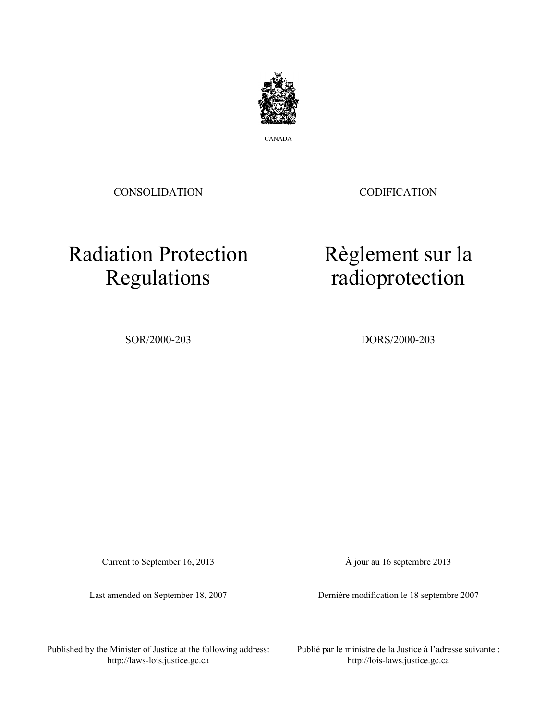

CANADA

CONSOLIDATION

**CODIFICATION** 

Règlement sur la

radioprotection

# Radiation Protection Regulations

SOR/2000-203 DORS/2000-203

Current to September 16, 2013

Last amended on September 18, 2007

À jour au 16 septembre 2013

Dernière modification le 18 septembre 2007

Published by the Minister of Justice at the following address: http://laws-lois.justice.gc.ca

Publié par le ministre de la Justice à l'adresse suivante : http://lois-laws.justice.gc.ca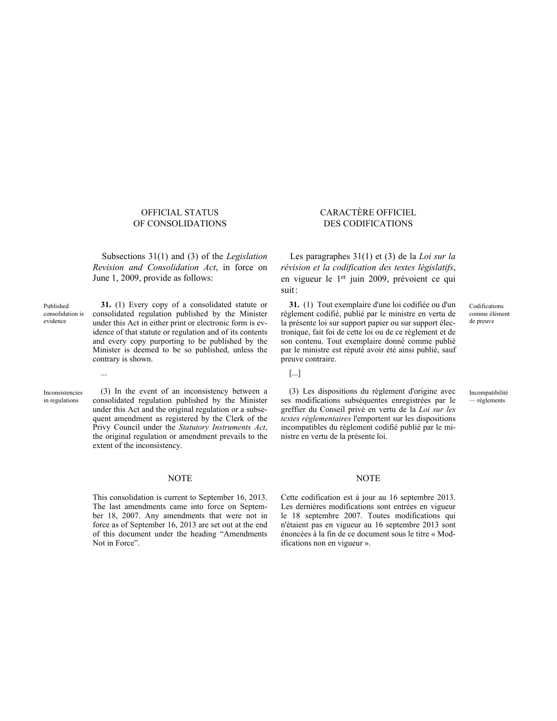### OFFICIAL STATUS OF CONSOLIDATIONS

Subsections 31(1) and (3) of the *Legislation Revision and Consolidation Act*, in force on June 1, 2009, provide as follows:

consolidation is **31.** (1) Every copy of a consolidated statute or consolidated regulation published by the Minister under this Act in either print or electronic form is evidence of that statute or regulation and of its contents and every copy purporting to be published by the Minister is deemed to be so published, unless the contrary is shown.

Inconsistencies in regulations

Published

evidence

(3) In the event of an inconsistency between a consolidated regulation published by the Minister under this Act and the original regulation or a subsequent amendment as registered by the Clerk of the Privy Council under the *Statutory Instruments Act*, the original regulation or amendment prevails to the extent of the inconsistency.

### NOTE NOTE

This consolidation is current to September 16, 2013. The last amendments came into force on September 18, 2007. Any amendments that were not in force as of September 16, 2013 are set out at the end of this document under the heading "Amendments Not in Force".

### CARACTÈRE OFFICIEL DES CODIFICATIONS

Les paragraphes 31(1) et (3) de la *Loi sur la révision et la codification des textes législatifs*, en vigueur le 1<sup>er</sup> juin 2009, prévoient ce qui suit:

**31.** (1) Tout exemplaire d'une loi codifiée ou d'un règlement codifié, publié par le ministre en vertu de la présente loi sur support papier ou sur support électronique, fait foi de cette loi ou de ce règlement et de son contenu. Tout exemplaire donné comme publié par le ministre est réputé avoir été ainsi publié, sauf preuve contraire.

Codifications comme élément de preuve

Incompatibilité — règlements

... [...]

(3) Les dispositions du règlement d'origine avec ses modifications subséquentes enregistrées par le greffier du Conseil privé en vertu de la *Loi sur les textes réglementaires* l'emportent sur les dispositions incompatibles du règlement codifié publié par le ministre en vertu de la présente loi.

Cette codification est à jour au 16 septembre 2013. Les dernières modifications sont entrées en vigueur le 18 septembre 2007. Toutes modifications qui n'étaient pas en vigueur au 16 septembre 2013 sont énoncées à la fin de ce document sous le titre « Modifications non en vigueur ».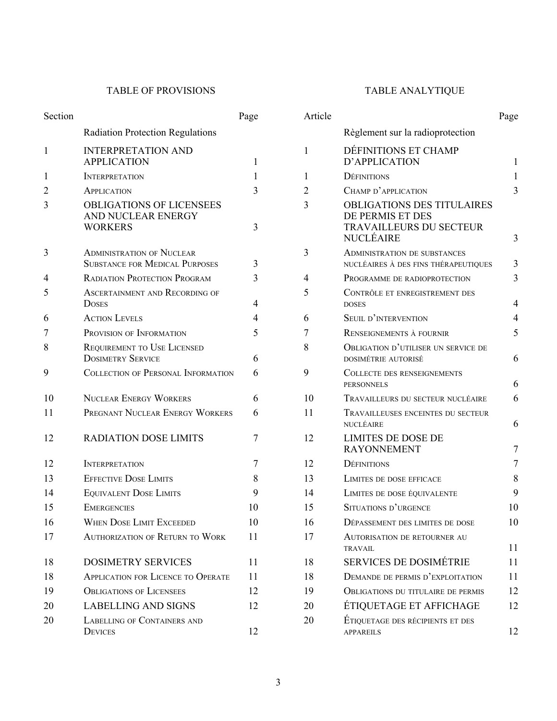# TABLE OF PROVISIONS TABLE ANALYTIQUE

| Section        |                                                                           | Page | Article        |                                                                                                      | Page |
|----------------|---------------------------------------------------------------------------|------|----------------|------------------------------------------------------------------------------------------------------|------|
|                | <b>Radiation Protection Regulations</b>                                   |      |                | Règlement sur la radioprotection                                                                     |      |
| $\mathbf{1}$   | <b>INTERPRETATION AND</b><br><b>APPLICATION</b>                           | 1    | $\mathbf{1}$   | DÉFINITIONS ET CHAMP<br>D'APPLICATION                                                                |      |
| $\mathbf{1}$   | <b>INTERPRETATION</b>                                                     | 1    | 1              | <b>DÉFINITIONS</b>                                                                                   |      |
| $\overline{2}$ | APPLICATION                                                               | 3    | $\overline{2}$ | CHAMP D'APPLICATION                                                                                  | 3    |
| 3              | <b>OBLIGATIONS OF LICENSEES</b><br>AND NUCLEAR ENERGY<br><b>WORKERS</b>   | 3    | 3              | <b>OBLIGATIONS DES TITULAIRES</b><br>DE PERMIS ET DES<br>TRAVAILLEURS DU SECTEUR<br><b>NUCLÉAIRE</b> | 3    |
| 3              | <b>ADMINISTRATION OF NUCLEAR</b><br><b>SUBSTANCE FOR MEDICAL PURPOSES</b> | 3    | $\overline{3}$ | <b>ADMINISTRATION DE SUBSTANCES</b><br>NUCLÉAIRES À DES FINS THÉRAPEUTIQUES                          | 3    |
| 4              | <b>RADIATION PROTECTION PROGRAM</b>                                       | 3    | $\overline{4}$ | PROGRAMME DE RADIOPROTECTION                                                                         | 3    |
| 5              | ASCERTAINMENT AND RECORDING OF<br><b>DOSES</b>                            | 4    | 5              | CONTRÔLE ET ENREGISTREMENT DES<br><b>DOSES</b>                                                       | 4    |
| 6              | <b>ACTION LEVELS</b>                                                      | 4    | 6              | SEUIL D'INTERVENTION                                                                                 |      |
| 7              | PROVISION OF INFORMATION                                                  | 5    | 7              | RENSEIGNEMENTS À FOURNIR                                                                             | 5    |
| 8              | REQUIREMENT TO USE LICENSED<br><b>DOSIMETRY SERVICE</b>                   | 6    | 8              | OBLIGATION D'UTILISER UN SERVICE DE<br>DOSIMÉTRIE AUTORISÉ                                           | 6    |
| 9              | <b>COLLECTION OF PERSONAL INFORMATION</b>                                 | 6    | 9              | <b>COLLECTE DES RENSEIGNEMENTS</b><br><b>PERSONNELS</b>                                              | 6    |
| 10             | <b>NUCLEAR ENERGY WORKERS</b>                                             | 6    | 10             | TRAVAILLEURS DU SECTEUR NUCLÉAIRE                                                                    | 6    |
| 11             | PREGNANT NUCLEAR ENERGY WORKERS                                           | 6    | 11             | TRAVAILLEUSES ENCEINTES DU SECTEUR<br>NUCLÉAIRE                                                      | 6    |
| 12             | <b>RADIATION DOSE LIMITS</b>                                              | 7    | 12             | <b>LIMITES DE DOSE DE</b><br><b>RAYONNEMENT</b>                                                      | 7    |
| 12             | <b>INTERPRETATION</b>                                                     | 7    | 12             | <b>DÉFINITIONS</b>                                                                                   | 7    |
| 13             | <b>EFFECTIVE DOSE LIMITS</b>                                              | 8    | 13             | LIMITES DE DOSE EFFICACE                                                                             | 8    |
| 14             | <b>EQUIVALENT DOSE LIMITS</b>                                             | 9    | 14             | LIMITES DE DOSE ÉQUIVALENTE                                                                          | 9    |
| 15             | <b>EMERGENCIES</b>                                                        | 10   | 15             | SITUATIONS D'URGENCE                                                                                 | 10   |
| 16             | <b>WHEN DOSE LIMIT EXCEEDED</b>                                           | 10   | 16             | DÉPASSEMENT DES LIMITES DE DOSE                                                                      | 10   |
| 17             | <b>AUTHORIZATION OF RETURN TO WORK</b>                                    | 11   | 17             | <b>AUTORISATION DE RETOURNER AU</b><br><b>TRAVAIL</b>                                                | 11   |
| 18             | <b>DOSIMETRY SERVICES</b>                                                 | 11   | 18             | <b>SERVICES DE DOSIMÉTRIE</b>                                                                        | 11   |
| 18             | <b>APPLICATION FOR LICENCE TO OPERATE</b>                                 | 11   | 18             | DEMANDE DE PERMIS D'EXPLOITATION                                                                     | 11   |
| 19             | <b>OBLIGATIONS OF LICENSEES</b>                                           | 12   | 19             | <b>OBLIGATIONS DU TITULAIRE DE PERMIS</b>                                                            | 12   |
| 20             | <b>LABELLING AND SIGNS</b>                                                | 12   | 20             | ÉTIQUETAGE ET AFFICHAGE                                                                              | 12   |
| 20             | <b>LABELLING OF CONTAINERS AND</b><br><b>DEVICES</b>                      | 12   | 20             | ÉTIQUETAGE DES RÉCIPIENTS ET DES<br><b>APPAREILS</b>                                                 | 12   |

| Article |                                                                                               | Page |
|---------|-----------------------------------------------------------------------------------------------|------|
|         | Règlement sur la radioprotection                                                              |      |
| 1       | DÉFINITIONS ET CHAMP<br>D'APPLICATION                                                         | 1    |
| 1       | <b>DEFINITIONS</b>                                                                            | 1    |
| 2       | CHAMP D'APPLICATION                                                                           | 3    |
| 3       | <b>OBLIGATIONS DES TITULAIRES</b><br>DE PERMIS ET DES<br>TRAVAILLEURS DU SECTEUR<br>NUCLÉAIRE | 3    |
| 3       | <b>ADMINISTRATION DE SUBSTANCES</b>                                                           |      |
|         | NUCLÉAIRES À DES FINS THÉRAPEUTIQUES                                                          | 3    |
| 4       | PROGRAMME DE RADIOPROTECTION                                                                  | 3    |
| 5       | CONTRÔLE ET ENREGISTREMENT DES<br><b>DOSES</b>                                                | 4    |
| 6       | SEUIL D'INTERVENTION                                                                          | 4    |
| 7       | RENSEIGNEMENTS À FOURNIR                                                                      | 5    |
| 8       | OBLIGATION D'UTILISER UN SERVICE DE<br>DOSIMÉTRIE AUTORISÉ                                    | 6    |
| 9       | <b>COLLECTE DES RENSEIGNEMENTS</b><br><b>PERSONNELS</b>                                       | 6    |
| 10      | TRAVAILLEURS DU SECTEUR NUCLÉAIRE                                                             | 6    |
| 11      | TRAVAILLEUSES ENCEINTES DU SECTEUR<br>NUCLÉAIRE                                               | 6    |
| 12      | <b>LIMITES DE DOSE DE</b><br><b>RAYONNEMENT</b>                                               | 7    |
| 12      | <b>DÉFINITIONS</b>                                                                            | 7    |
| 13      | LIMITES DE DOSE EFFICACE                                                                      | 8    |
| 14      | LIMITES DE DOSE ÉQUIVALENTE                                                                   | 9    |
| 15      | SITUATIONS D'URGENCE                                                                          | 10   |
| 16      | DÉPASSEMENT DES LIMITES DE DOSE                                                               | 10   |
| 17      | <b>AUTORISATION DE RETOURNER AU</b><br><b>TRAVAIL</b>                                         | 11   |
| 18      | <b>SERVICES DE DOSIMÉTRIE</b>                                                                 | 11   |
| 18      | DEMANDE DE PERMIS D'EXPLOITATION                                                              | 11   |
| 19      | <b>OBLIGATIONS DU TITULAIRE DE PERMIS</b>                                                     | 12   |
| 20      | ÉTIQUETAGE ET AFFICHAGE                                                                       | 12   |
| 20      | ÉTIQUETAGE DES RÉCIPIENTS ET DES<br><b>APPAREILS</b>                                          | 12   |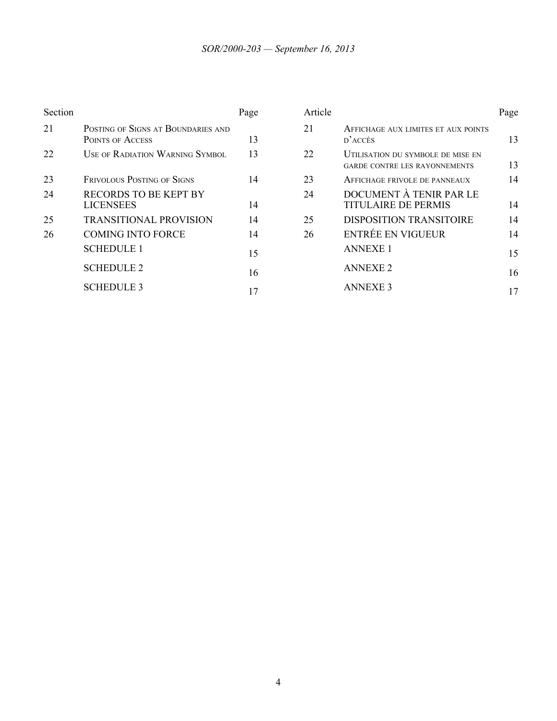| Section |                                                               | Page | Article |                                                                    |
|---------|---------------------------------------------------------------|------|---------|--------------------------------------------------------------------|
| 21      | POSTING OF SIGNS AT BOUNDARIES AND<br><b>POINTS OF ACCESS</b> | 13   | 21      | AFFICHAGE AUX LIMITES ET AUX POIN<br>$D$ <sup>2</sup> $ACC$ ÈS     |
| 22      | USE OF RADIATION WARNING SYMBOL                               | 13   | 22      | UTILISATION DU SYMBOLE DE MISE EN<br>GARDE CONTRE LES RAYONNEMENTS |
| 23      | FRIVOLOUS POSTING OF SIGNS                                    | 14   | 23      | AFFICHAGE FRIVOLE DE PANNEAUX                                      |
| 24      | <b>RECORDS TO BE KEPT BY</b><br><b>LICENSEES</b>              | 14   | 24      | DOCUMENT À TENIR PAR LE<br><b>TITULAIRE DE PERMIS</b>              |
| 25      | <b>TRANSITIONAL PROVISION</b>                                 | 14   | 25      | <b>DISPOSITION TRANSITOIRE</b>                                     |
| 26      | <b>COMING INTO FORCE</b>                                      | 14   | 26      | <b>ENTRÉE EN VIGUEUR</b>                                           |
|         | <b>SCHEDULE 1</b>                                             | 15   |         | <b>ANNEXE 1</b>                                                    |
|         | <b>SCHEDULE 2</b>                                             | 16   |         | <b>ANNEXE 2</b>                                                    |
|         | <b>SCHEDULE 3</b>                                             | 17   |         | <b>ANNEXE 3</b>                                                    |

| Section |                                                               | Page | Article |                                                                           | Page |
|---------|---------------------------------------------------------------|------|---------|---------------------------------------------------------------------------|------|
| 21      | POSTING OF SIGNS AT BOUNDARIES AND<br><b>POINTS OF ACCESS</b> | 13   | 21      | AFFICHAGE AUX LIMITES ET AUX POINTS<br>$D^2$ ACCÈS                        | 13   |
| 22      | <b>USE OF RADIATION WARNING SYMBOL</b>                        | 13   | 22      | UTILISATION DU SYMBOLE DE MISE EN<br><b>GARDE CONTRE LES RAYONNEMENTS</b> | 13   |
| 23      | <b>FRIVOLOUS POSTING OF SIGNS</b>                             | 14   | 23      | AFFICHAGE FRIVOLE DE PANNEAUX                                             | 14   |
| 24      | <b>RECORDS TO BE KEPT BY</b><br><b>LICENSEES</b>              | 14   | 24      | DOCUMENT À TENIR PAR LE<br><b>TITULAIRE DE PERMIS</b>                     | 14   |
| 25      | <b>TRANSITIONAL PROVISION</b>                                 | 14   | 25      | DISPOSITION TRANSITOIRE                                                   | 14   |
| 26      | <b>COMING INTO FORCE</b>                                      | 14   | 26      | <b>ENTRÉE EN VIGUEUR</b>                                                  | 14   |
|         | <b>SCHEDULE 1</b>                                             | 15   |         | <b>ANNEXE 1</b>                                                           | 15   |
|         | <b>SCHEDULE 2</b>                                             | 16   |         | <b>ANNEXE 2</b>                                                           | 16   |
|         | <b>SCHEDULE 3</b>                                             | 17   |         | <b>ANNEXE 3</b>                                                           | 17   |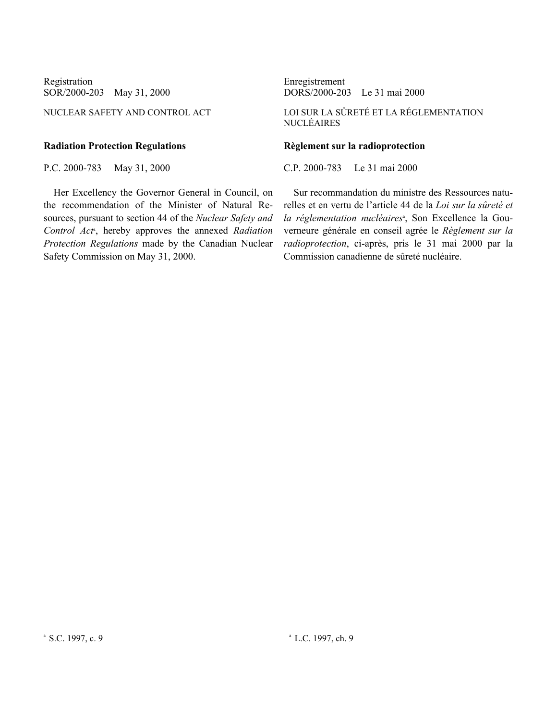SOR/2000-203 May 31, 2000

### **Radiation Protection Regulations Règlement sur la radioprotection**

Her Excellency the Governor General in Council, on the recommendation of the Minister of Natural Resources, pursuant to section 44 of the *Nuclear Safety and* Control Act<sup>a</sup>, hereby approves the annexed *Radiation Protection Regulations* made by the Canadian Nuclear Safety Commission on May 31, 2000.

Registration<br>SOR/2000-203 May 31, 2000<br>DORS/2000-203 Le 31 mai 2000

NUCLEAR SAFETY AND CONTROL ACT LOI SUR LA SÛRETÉ ET LA RÉGLEMENTATION NUCLÉAIRES

P.C. 2000-783 May 31, 2000 C.P. 2000-783 Le 31 mai 2000

Sur recommandation du ministre des Ressources naturelles et en vertu de l'article 44 de la *Loi sur la sûreté et* la réglementation nucléaires<sup>a</sup>, Son Excellence la Gouverneure générale en conseil agrée le *Règlement sur la radioprotection*, ci-après, pris le 31 mai 2000 par la Commission canadienne de sûreté nucléaire.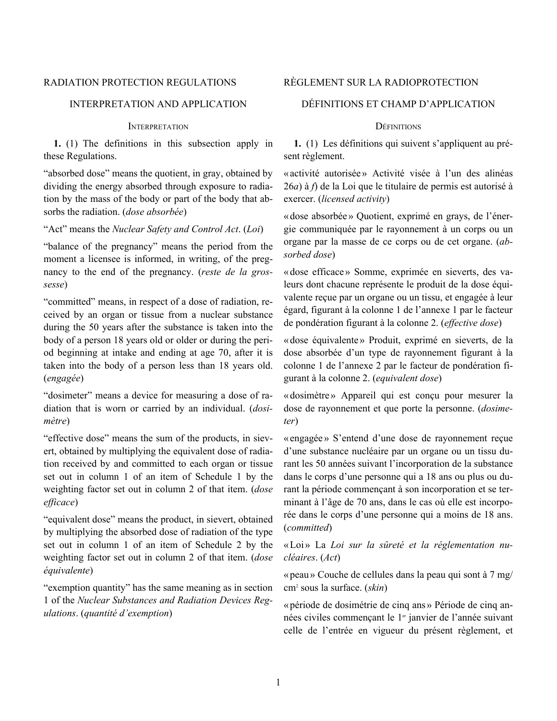# <span id="page-5-0"></span>RADIATION PROTECTION REGULATIONS RÈGLEMENT SUR LA RADIOPROTECTION

# INTERPRETATION AND APPLICATION DÉFINITIONS ET CHAMP D'APPLICATION

### INTERPRETATION DÉFINITIONS

**1.** (1) The definitions in this subsection apply in these Regulations.

"absorbed dose" means the quotient, in gray, obtained by dividing the energy absorbed through exposure to radiation by the mass of the body or part of the body that absorbs the radiation. (*dose absorbée*)

"Act" means the *Nuclear Safety and Control Act*. (*Loi*)

"balance of the pregnancy" means the period from the moment a licensee is informed, in writing, of the pregnancy to the end of the pregnancy. (*reste de la grossesse*)

"committed" means, in respect of a dose of radiation, received by an organ or tissue from a nuclear substance during the 50 years after the substance is taken into the body of a person 18 years old or older or during the period beginning at intake and ending at age 70, after it is taken into the body of a person less than 18 years old. (*engagée*)

"dosimeter" means a device for measuring a dose of radiation that is worn or carried by an individual. (*dosimètre*)

"effective dose" means the sum of the products, in sievert, obtained by multiplying the equivalent dose of radiation received by and committed to each organ or tissue set out in column 1 of an item of Schedule 1 by the weighting factor set out in column 2 of that item. (*dose efficace*)

"equivalent dose" means the product, in sievert, obtained by multiplying the absorbed dose of radiation of the type set out in column 1 of an item of Schedule 2 by the weighting factor set out in column 2 of that item. (*dose équivalente*)

"exemption quantity" has the same meaning as in section 1 of the *Nuclear Substances and Radiation Devices Regulations*. (*quantité d'exemption*)

**1.** (1) Les définitions qui suivent s'appliquent au présent règlement.

«activité autorisée» Activité visée à l'un des alinéas 26*a*) à *f*) de la Loi que le titulaire de permis est autorisé à exercer. (*licensed activity*)

«dose absorbée » Quotient, exprimé en grays, de l'énergie communiquée par le rayonnement à un corps ou un organe par la masse de ce corps ou de cet organe. (*absorbed dose*)

«dose efficace» Somme, exprimée en sieverts, des valeurs dont chacune représente le produit de la dose équivalente reçue par un organe ou un tissu, et engagée à leur égard, figurant à la colonne 1 de l'annexe 1 par le facteur de pondération figurant à la colonne 2. (*effective dose*)

«dose équivalente» Produit, exprimé en sieverts, de la dose absorbée d'un type de rayonnement figurant à la colonne 1 de l'annexe 2 par le facteur de pondération figurant à la colonne 2. (*equivalent dose*)

«dosimètre» Appareil qui est conçu pour mesurer la dose de rayonnement et que porte la personne. (*dosimeter*)

«engagée» S'entend d'une dose de rayonnement reçue d'une substance nucléaire par un organe ou un tissu durant les 50 années suivant l'incorporation de la substance dans le corps d'une personne qui a 18 ans ou plus ou durant la période commençant à son incorporation et se terminant à l'âge de 70 ans, dans le cas où elle est incorporée dans le corps d'une personne qui a moins de 18 ans. (*committed*)

«Loi» La *Loi sur la sûreté et la réglementation nucléaires*. (*Act*)

«peau» Couche de cellules dans la peau qui sont à 7 mg/ cm<sup>2</sup> sous la surface. (*skin*)

«période de dosimétrie de cinq ans» Période de cinq années civiles commençant le 1<sup>er</sup> janvier de l'année suivant celle de l'entrée en vigueur du présent règlement, et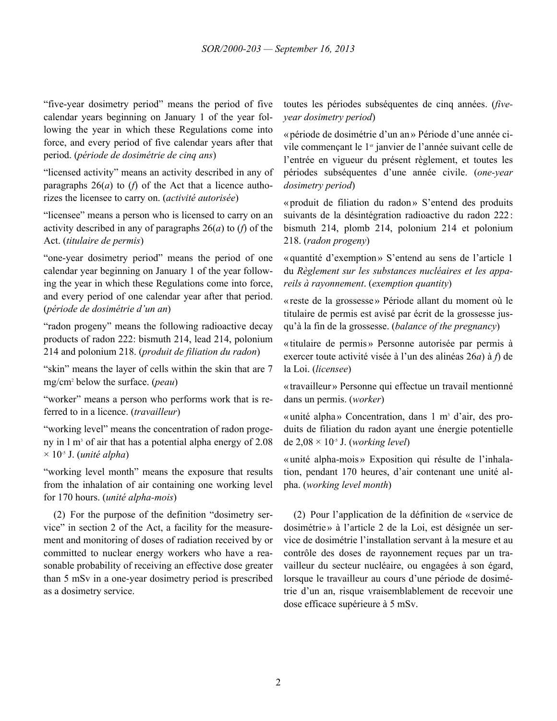"five-year dosimetry period" means the period of five calendar years beginning on January 1 of the year following the year in which these Regulations come into force, and every period of five calendar years after that period. (*période de dosimétrie de cinq ans*)

"licensed activity" means an activity described in any of paragraphs  $26(a)$  to (*f*) of the Act that a licence authorizes the licensee to carry on. (*activité autorisée*)

"licensee" means a person who is licensed to carry on an activity described in any of paragraphs 26(*a*) to (*f*) of the Act. (*titulaire de permis*)

"one-year dosimetry period" means the period of one calendar year beginning on January 1 of the year following the year in which these Regulations come into force, and every period of one calendar year after that period. (*période de dosimétrie d'un an*)

"radon progeny" means the following radioactive decay products of radon 222: bismuth 214, lead 214, polonium 214 and polonium 218. (*produit de filiation du radon*)

"skin" means the layer of cells within the skin that are 7 mg/cm<sup>2</sup> below the surface. (*peau*)

"worker" means a person who performs work that is referred to in a licence. (*travailleur*)

"working level" means the concentration of radon progeny in 1 m<sup>3</sup> of air that has a potential alpha energy of 2.08 × 10-5 J. (*unité alpha*)

"working level month" means the exposure that results from the inhalation of air containing one working level for 170 hours. (*unité alpha-mois*)

(2) For the purpose of the definition "dosimetry service" in section 2 of the Act, a facility for the measurement and monitoring of doses of radiation received by or committed to nuclear energy workers who have a reasonable probability of receiving an effective dose greater than 5 mSv in a one-year dosimetry period is prescribed as a dosimetry service.

toutes les périodes subséquentes de cinq années. (*fiveyear dosimetry period*)

«période de dosimétrie d'un an» Période d'une année civile commençant le 1<sup>er</sup> janvier de l'année suivant celle de l'entrée en vigueur du présent règlement, et toutes les périodes subséquentes d'une année civile. (*one-year dosimetry period*)

«produit de filiation du radon» S'entend des produits suivants de la désintégration radioactive du radon 222: bismuth 214, plomb 214, polonium 214 et polonium 218. (*radon progeny*)

«quantité d'exemption» S'entend au sens de l'article 1 du *Règlement sur les substances nucléaires et les appareils à rayonnement*. (*exemption quantity*)

«reste de la grossesse» Période allant du moment où le titulaire de permis est avisé par écrit de la grossesse jusqu'à la fin de la grossesse. (*balance of the pregnancy*)

«titulaire de permis» Personne autorisée par permis à exercer toute activité visée à l'un des alinéas 26*a*) à *f*) de la Loi. (*licensee*)

«travailleur» Personne qui effectue un travail mentionné dans un permis. (*worker*)

«unité alpha» Concentration, dans 1 m<sup>3</sup> d'air, des produits de filiation du radon ayant une énergie potentielle de 2,08 × 10-5 J. (*working level*)

«unité alpha-mois» Exposition qui résulte de l'inhalation, pendant 170 heures, d'air contenant une unité alpha. (*working level month*)

(2) Pour l'application de la définition de «service de dosimétrie» à l'article 2 de la Loi, est désignée un service de dosimétrie l'installation servant à la mesure et au contrôle des doses de rayonnement reçues par un travailleur du secteur nucléaire, ou engagées à son égard, lorsque le travailleur au cours d'une période de dosimétrie d'un an, risque vraisemblablement de recevoir une dose efficace supérieure à 5 mSv.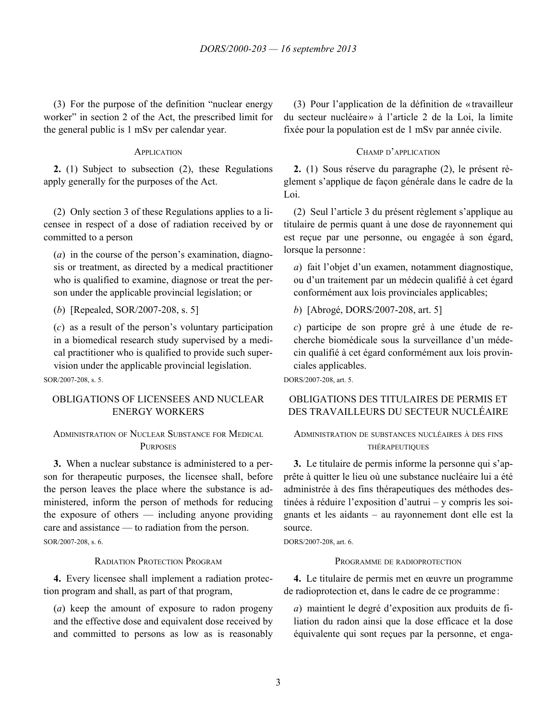<span id="page-7-0"></span>(3) For the purpose of the definition "nuclear energy worker" in section 2 of the Act, the prescribed limit for the general public is 1 mSv per calendar year.

**2.** (1) Subject to subsection (2), these Regulations apply generally for the purposes of the Act.

(2) Only section 3 of these Regulations applies to a licensee in respect of a dose of radiation received by or committed to a person

(*a*) in the course of the person's examination, diagnosis or treatment, as directed by a medical practitioner who is qualified to examine, diagnose or treat the person under the applicable provincial legislation; or

(*b*) [Repealed, SOR/2007-208, s. 5]

(*c*) as a result of the person's voluntary participation in a biomedical research study supervised by a medical practitioner who is qualified to provide such supervision under the applicable provincial legislation.

SOR/2007-208, s. 5.

# OBLIGATIONS OF LICENSEES AND NUCLEAR ENERGY WORKERS

# ADMINISTRATION OF NUCLEAR SUBSTANCE FOR MEDICAL **PURPOSES**

**3.** When a nuclear substance is administered to a person for therapeutic purposes, the licensee shall, before the person leaves the place where the substance is administered, inform the person of methods for reducing the exposure of others — including anyone providing care and assistance — to radiation from the person. SOR/2007-208, s. 6.

RADIATION PROTECTION PROGRAM PROGRAM PROGRAMME DE RADIOPROTECTION

**4.** Every licensee shall implement a radiation protection program and shall, as part of that program,

(*a*) keep the amount of exposure to radon progeny and the effective dose and equivalent dose received by and committed to persons as low as is reasonably

(3) Pour l'application de la définition de « travailleur du secteur nucléaire» à l'article 2 de la Loi, la limite fixée pour la population est de 1 mSv par année civile.

### APPLICATION CHAMP D'APPLICATION

**2.** (1) Sous réserve du paragraphe (2), le présent règlement s'applique de façon générale dans le cadre de la Loi.

(2) Seul l'article 3 du présent règlement s'applique au titulaire de permis quant à une dose de rayonnement qui est reçue par une personne, ou engagée à son égard, lorsque la personne :

*a*) fait l'objet d'un examen, notamment diagnostique, ou d'un traitement par un médecin qualifié à cet égard conformément aux lois provinciales applicables;

*b*) [Abrogé, DORS/2007-208, art. 5]

*c*) participe de son propre gré à une étude de recherche biomédicale sous la surveillance d'un médecin qualifié à cet égard conformément aux lois provinciales applicables.

DORS/2007-208, art. 5.

# OBLIGATIONS DES TITULAIRES DE PERMIS ET DES TRAVAILLEURS DU SECTEUR NUCLÉAIRE

### ADMINISTRATION DE SUBSTANCES NUCLÉAIRES À DES FINS THÉRAPEUTIQUES

**3.** Le titulaire de permis informe la personne qui s'apprête à quitter le lieu où une substance nucléaire lui a été administrée à des fins thérapeutiques des méthodes destinées à réduire l'exposition d'autrui – y compris les soignants et les aidants – au rayonnement dont elle est la source.

DORS/2007-208, art. 6.

**4.** Le titulaire de permis met en œuvre un programme de radioprotection et, dans le cadre de ce programme :

*a*) maintient le degré d'exposition aux produits de filiation du radon ainsi que la dose efficace et la dose équivalente qui sont reçues par la personne, et enga-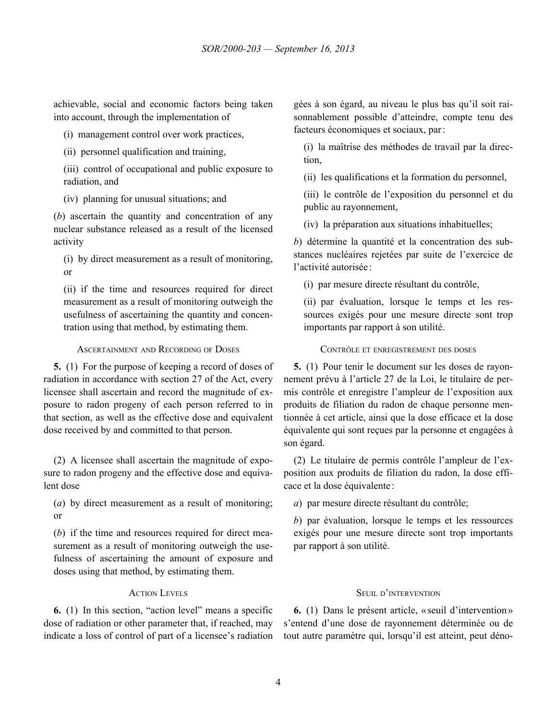<span id="page-8-0"></span>achievable, social and economic factors being taken into account, through the implementation of

(i) management control over work practices,

(ii) personnel qualification and training,

(iii) control of occupational and public exposure to radiation, and

(iv) planning for unusual situations; and

(*b*) ascertain the quantity and concentration of any nuclear substance released as a result of the licensed activity

(i) by direct measurement as a result of monitoring, or

(ii) if the time and resources required for direct measurement as a result of monitoring outweigh the usefulness of ascertaining the quantity and concentration using that method, by estimating them.

ASCERTAINMENT AND RECORDING OF DOSES CONTRÔLE ET ENREGISTREMENT DES DOSES

**5.** (1) For the purpose of keeping a record of doses of radiation in accordance with section 27 of the Act, every licensee shall ascertain and record the magnitude of exposure to radon progeny of each person referred to in that section, as well as the effective dose and equivalent dose received by and committed to that person.

(2) A licensee shall ascertain the magnitude of exposure to radon progeny and the effective dose and equivalent dose

(*a*) by direct measurement as a result of monitoring; or

(*b*) if the time and resources required for direct measurement as a result of monitoring outweigh the usefulness of ascertaining the amount of exposure and doses using that method, by estimating them.

**6.** (1) In this section, "action level" means a specific dose of radiation or other parameter that, if reached, may indicate a loss of control of part of a licensee's radiation gées à son égard, au niveau le plus bas qu'il soit raisonnablement possible d'atteindre, compte tenu des facteurs économiques et sociaux, par:

(i) la maîtrise des méthodes de travail par la direction,

(ii) les qualifications et la formation du personnel,

(iii) le contrôle de l'exposition du personnel et du public au rayonnement,

(iv) la préparation aux situations inhabituelles;

*b*) détermine la quantité et la concentration des substances nucléaires rejetées par suite de l'exercice de l'activité autorisée :

(i) par mesure directe résultant du contrôle,

(ii) par évaluation, lorsque le temps et les ressources exigés pour une mesure directe sont trop importants par rapport à son utilité.

**5.** (1) Pour tenir le document sur les doses de rayonnement prévu à l'article 27 de la Loi, le titulaire de permis contrôle et enregistre l'ampleur de l'exposition aux produits de filiation du radon de chaque personne mentionnée à cet article, ainsi que la dose efficace et la dose équivalente qui sont reçues par la personne et engagées à son égard.

(2) Le titulaire de permis contrôle l'ampleur de l'exposition aux produits de filiation du radon, la dose efficace et la dose équivalente :

*a*) par mesure directe résultant du contrôle;

*b*) par évaluation, lorsque le temps et les ressources exigés pour une mesure directe sont trop importants par rapport à son utilité.

# **ACTION LEVELS** SEUIL D'INTERVENTION

**6.** (1) Dans le présent article, «seuil d'intervention» s'entend d'une dose de rayonnement déterminée ou de tout autre paramètre qui, lorsqu'il est atteint, peut déno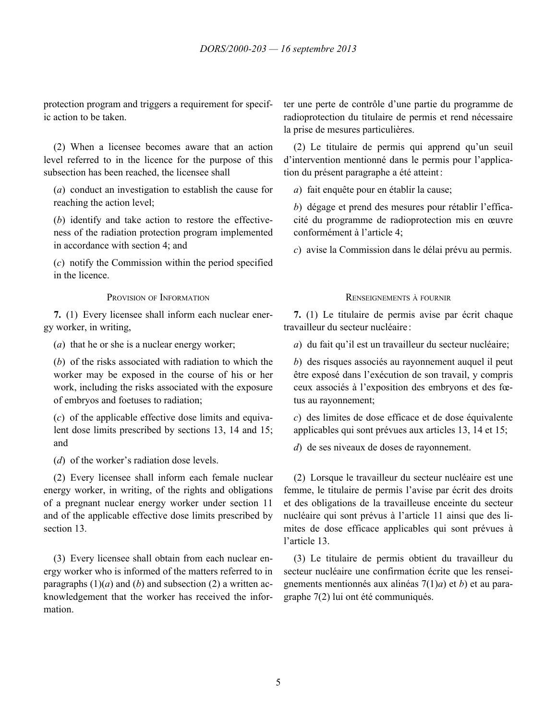<span id="page-9-0"></span>protection program and triggers a requirement for specific action to be taken.

(2) When a licensee becomes aware that an action level referred to in the licence for the purpose of this subsection has been reached, the licensee shall

(*a*) conduct an investigation to establish the cause for reaching the action level;

(*b*) identify and take action to restore the effectiveness of the radiation protection program implemented in accordance with section 4; and

(*c*) notify the Commission within the period specified in the licence.

**7.** (1) Every licensee shall inform each nuclear energy worker, in writing,

(*a*) that he or she is a nuclear energy worker;

(*b*) of the risks associated with radiation to which the worker may be exposed in the course of his or her work, including the risks associated with the exposure of embryos and foetuses to radiation;

(*c*) of the applicable effective dose limits and equivalent dose limits prescribed by sections 13, 14 and 15; and

(*d*) of the worker's radiation dose levels.

(2) Every licensee shall inform each female nuclear energy worker, in writing, of the rights and obligations of a pregnant nuclear energy worker under section 11 and of the applicable effective dose limits prescribed by section 13.

(3) Every licensee shall obtain from each nuclear energy worker who is informed of the matters referred to in paragraphs  $(1)(a)$  and  $(b)$  and subsection  $(2)$  a written acknowledgement that the worker has received the information.

ter une perte de contrôle d'une partie du programme de radioprotection du titulaire de permis et rend nécessaire la prise de mesures particulières.

(2) Le titulaire de permis qui apprend qu'un seuil d'intervention mentionné dans le permis pour l'application du présent paragraphe a été atteint:

*a*) fait enquête pour en établir la cause;

*b*) dégage et prend des mesures pour rétablir l'efficacité du programme de radioprotection mis en œuvre conformément à l'article 4;

*c*) avise la Commission dans le délai prévu au permis.

# PROVISION OF INFORMATION RENSEIGNEMENTS À FOURNIR

**7.** (1) Le titulaire de permis avise par écrit chaque travailleur du secteur nucléaire :

*a*) du fait qu'il est un travailleur du secteur nucléaire;

*b*) des risques associés au rayonnement auquel il peut être exposé dans l'exécution de son travail, y compris ceux associés à l'exposition des embryons et des fœtus au rayonnement;

*c*) des limites de dose efficace et de dose équivalente applicables qui sont prévues aux articles 13, 14 et 15;

*d*) de ses niveaux de doses de rayonnement.

(2) Lorsque le travailleur du secteur nucléaire est une femme, le titulaire de permis l'avise par écrit des droits et des obligations de la travailleuse enceinte du secteur nucléaire qui sont prévus à l'article 11 ainsi que des limites de dose efficace applicables qui sont prévues à l'article 13.

(3) Le titulaire de permis obtient du travailleur du secteur nucléaire une confirmation écrite que les renseignements mentionnés aux alinéas 7(1)*a*) et *b*) et au paragraphe 7(2) lui ont été communiqués.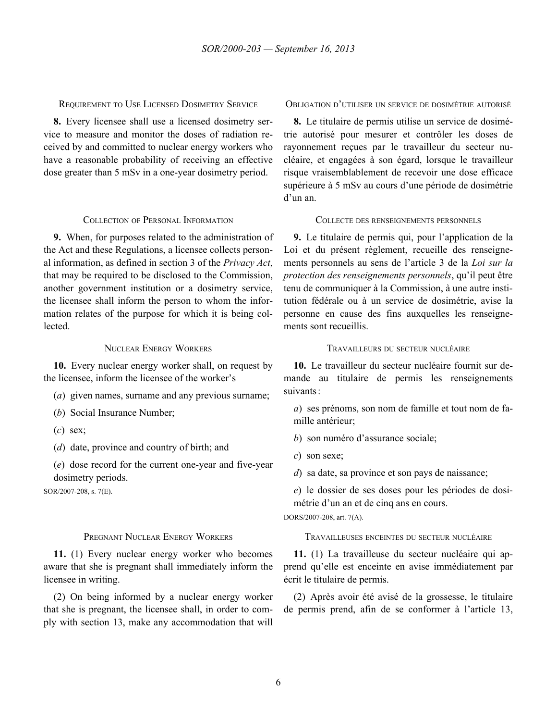<span id="page-10-0"></span>REQUIREMENT TO USE LICENSED DOSIMETRY SERVICE OBLIGATION D'UTILISER UN SERVICE DE DOSIMÉTRIE AUTORISÉ

**8.** Every licensee shall use a licensed dosimetry service to measure and monitor the doses of radiation received by and committed to nuclear energy workers who have a reasonable probability of receiving an effective dose greater than 5 mSv in a one-year dosimetry period.

**9.** When, for purposes related to the administration of the Act and these Regulations, a licensee collects personal information, as defined in section 3 of the *Privacy Act*, that may be required to be disclosed to the Commission, another government institution or a dosimetry service, the licensee shall inform the person to whom the information relates of the purpose for which it is being collected.

**10.** Every nuclear energy worker shall, on request by the licensee, inform the licensee of the worker's

- (*a*) given names, surname and any previous surname;
- (*b*) Social Insurance Number;
- (*c*) sex;
- (*d*) date, province and country of birth; and

(*e*) dose record for the current one-year and five-year dosimetry periods.

SOR/2007-208, s. 7(E).

**11.** (1) Every nuclear energy worker who becomes aware that she is pregnant shall immediately inform the licensee in writing.

(2) On being informed by a nuclear energy worker that she is pregnant, the licensee shall, in order to comply with section 13, make any accommodation that will

**8.** Le titulaire de permis utilise un service de dosimétrie autorisé pour mesurer et contrôler les doses de rayonnement reçues par le travailleur du secteur nucléaire, et engagées à son égard, lorsque le travailleur risque vraisemblablement de recevoir une dose efficace supérieure à 5 mSv au cours d'une période de dosimétrie d'un an.

### COLLECTION OF PERSONAL INFORMATION COLLECTE DES RENSEIGNEMENTS PERSONNELS

**9.** Le titulaire de permis qui, pour l'application de la Loi et du présent règlement, recueille des renseignements personnels au sens de l'article 3 de la *Loi sur la protection des renseignements personnels*, qu'il peut être tenu de communiquer à la Commission, à une autre institution fédérale ou à un service de dosimétrie, avise la personne en cause des fins auxquelles les renseignements sont recueillis.

### NUCLEAR ENERGY WORKERS TRAVAILLEURS DU SECTEUR NUCLÉAIRE

**10.** Le travailleur du secteur nucléaire fournit sur demande au titulaire de permis les renseignements suivants:

*a*) ses prénoms, son nom de famille et tout nom de famille antérieur;

*b*) son numéro d'assurance sociale;

*c*) son sexe;

*d*) sa date, sa province et son pays de naissance;

*e*) le dossier de ses doses pour les périodes de dosimétrie d'un an et de cinq ans en cours.

DORS/2007-208, art. 7(A).

# PREGNANT NUCLEAR ENERGY WORKERS TRAVAILLEUSES ENCEINTES DU SECTEUR NUCLÉAIRE

**11.** (1) La travailleuse du secteur nucléaire qui apprend qu'elle est enceinte en avise immédiatement par écrit le titulaire de permis.

(2) Après avoir été avisé de la grossesse, le titulaire de permis prend, afin de se conformer à l'article 13,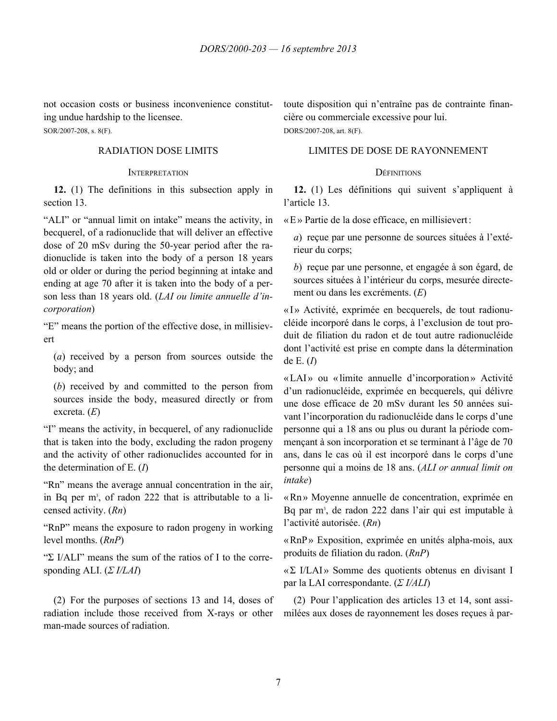<span id="page-11-0"></span>not occasion costs or business inconvenience constituting undue hardship to the licensee.

SOR/2007-208, s. 8(F).

### INTERPRETATION **DEFINITIONS**

**12.** (1) The definitions in this subsection apply in section 13.

"ALI" or "annual limit on intake" means the activity, in becquerel, of a radionuclide that will deliver an effective dose of 20 mSv during the 50-year period after the radionuclide is taken into the body of a person 18 years old or older or during the period beginning at intake and ending at age 70 after it is taken into the body of a person less than 18 years old. (*LAI ou limite annuelle d'incorporation*)

"E" means the portion of the effective dose, in millisievert

(*a*) received by a person from sources outside the body; and

(*b*) received by and committed to the person from sources inside the body, measured directly or from excreta. (*E*)

"I" means the activity, in becquerel, of any radionuclide that is taken into the body, excluding the radon progeny and the activity of other radionuclides accounted for in the determination of E. (*I*)

"Rn" means the average annual concentration in the air, in Bq per  $m<sup>3</sup>$ , of radon 222 that is attributable to a licensed activity. (*Rn*)

"RnP" means the exposure to radon progeny in working level months. (*RnP*)

"Σ I/ALI" means the sum of the ratios of I to the corresponding ALI. (*Σ I/LAI*)

(2) For the purposes of sections 13 and 14, doses of radiation include those received from X-rays or other man-made sources of radiation.

toute disposition qui n'entraîne pas de contrainte financière ou commerciale excessive pour lui. DORS/2007-208, art. 8(F).

RADIATION DOSE LIMITS LIMITES DE DOSE DE RAYONNEMENT

**12.** (1) Les définitions qui suivent s'appliquent à l'article 13.

«E» Partie de la dose efficace, en millisievert:

*a*) reçue par une personne de sources situées à l'extérieur du corps;

*b*) reçue par une personne, et engagée à son égard, de sources situées à l'intérieur du corps, mesurée directement ou dans les excréments. (*E*)

«I» Activité, exprimée en becquerels, de tout radionucléide incorporé dans le corps, à l'exclusion de tout produit de filiation du radon et de tout autre radionucléide dont l'activité est prise en compte dans la détermination de E. (*I*)

«LAI» ou «limite annuelle d'incorporation» Activité d'un radionucléide, exprimée en becquerels, qui délivre une dose efficace de 20 mSv durant les 50 années suivant l'incorporation du radionucléide dans le corps d'une personne qui a 18 ans ou plus ou durant la période commençant à son incorporation et se terminant à l'âge de 70 ans, dans le cas où il est incorporé dans le corps d'une personne qui a moins de 18 ans. (*ALI or annual limit on intake*)

«Rn » Moyenne annuelle de concentration, exprimée en Bq par m<sup>3</sup>, de radon 222 dans l'air qui est imputable à l'activité autorisée. (*Rn*)

«RnP» Exposition, exprimée en unités alpha-mois, aux produits de filiation du radon. (*RnP*)

«Σ I/LAI» Somme des quotients obtenus en divisant I par la LAI correspondante. (*Σ I/ALI*)

(2) Pour l'application des articles 13 et 14, sont assimilées aux doses de rayonnement les doses reçues à par-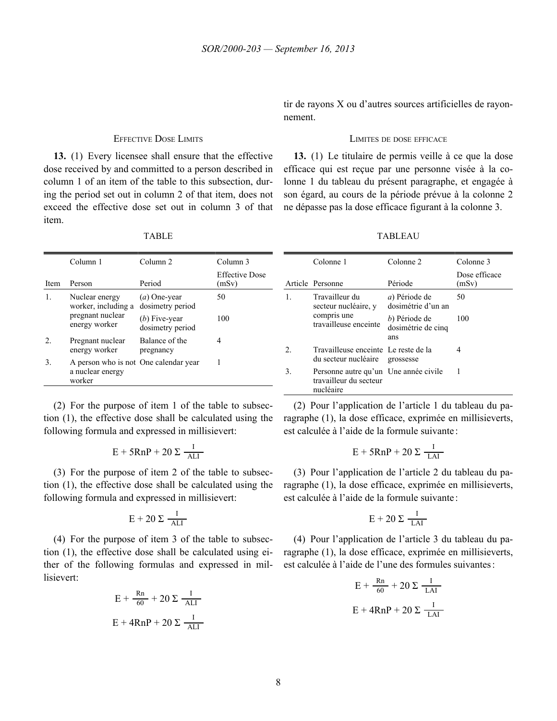<span id="page-12-0"></span>**13.** (1) Every licensee shall ensure that the effective dose received by and committed to a person described in column 1 of an item of the table to this subsection, during the period set out in column 2 of that item, does not exceed the effective dose set out in column 3 of that item.

|      | Column 1                                                            | Column <sub>2</sub>                 | Column 3                |
|------|---------------------------------------------------------------------|-------------------------------------|-------------------------|
| Item | Person                                                              | Period                              | Effective Dose<br>(mSv) |
|      | Nuclear energy<br>worker, including a                               | $(a)$ One-year<br>dosimetry period  | 50                      |
|      | pregnant nuclear<br>energy worker                                   | $(b)$ Five-year<br>dosimetry period | 100                     |
| 2.   | Pregnant nuclear<br>energy worker                                   | Balance of the<br>pregnancy         | 4                       |
| 3.   | A person who is not One calendar year<br>a nuclear energy<br>worker |                                     |                         |

(2) For the purpose of item 1 of the table to subsection (1), the effective dose shall be calculated using the following formula and expressed in millisievert:

$$
E + 5RnP + 20 \Sigma \frac{I}{ALI}
$$
  
E + 5RnP + 20  $\Sigma \frac{I}{L}$ 

(3) For the purpose of item 2 of the table to subsection (1), the effective dose shall be calculated using the following formula and expressed in millisievert:

$$
E + 20 \Sigma \frac{I}{ALI}
$$
 
$$
E + 20 \Sigma \frac{I}{L}
$$

(4) For the purpose of item 3 of the table to subsection (1), the effective dose shall be calculated using either of the following formulas and expressed in millisievert:

$$
E + \frac{Rn}{60} + 20 \Sigma \frac{I}{ALI}
$$
  
E + 4RnP + 20  $\Sigma \frac{I}{ALI}$   
E + 4RnP + 20  $\Sigma \frac{I}{ALI}$ 

tir de rayons X ou d'autres sources artificielles de rayonnement.

### EFFECTIVE DOSE LIMITS LIMITES DE DOSE EFFICACE

**13.** (1) Le titulaire de permis veille à ce que la dose efficace qui est reçue par une personne visée à la colonne 1 du tableau du présent paragraphe, et engagée à son égard, au cours de la période prévue à la colonne 2 ne dépasse pas la dose efficace figurant à la colonne 3.

| TABLEAU |  |  |
|---------|--|--|
|         |  |  |

|    | Colonne 1                                                                    | Colonne 2                                   | Colonne 3              |
|----|------------------------------------------------------------------------------|---------------------------------------------|------------------------|
|    | Article Personne                                                             | Période                                     | Dose efficace<br>(mSv) |
| 1  | Travailleur du<br>secteur nucléaire, y                                       | <i>a</i> ) Période de<br>dosimétrie d'un an | 50                     |
|    | compris une<br>travailleuse enceinte                                         | b) Période de<br>dosimétrie de cinq<br>ans  | 100                    |
| 2. | Travailleuse enceinte Le reste de la<br>du secteur nucléaire                 | grossesse                                   | 4                      |
| 3. | Personne autre qu'un Une année civile<br>travailleur du secteur<br>nucléaire |                                             |                        |

(2) Pour l'application de l'article 1 du tableau du paragraphe (1), la dose efficace, exprimée en millisieverts, est calculée à l'aide de la formule suivante :

$$
\frac{I}{ALI}
$$
  $E + 5RnP + 20 \sum \frac{I}{LAI}$ 

(3) Pour l'application de l'article 2 du tableau du paragraphe (1), la dose efficace, exprimée en millisieverts, est calculée à l'aide de la formule suivante :

$$
\frac{I}{\text{ALI}} \qquad \qquad E + 20 \sum \frac{I}{\text{LAI}}
$$

(4) Pour l'application de l'article 3 du tableau du paragraphe (1), la dose efficace, exprimée en millisieverts, est calculée à l'aide de l'une des formules suivantes:

$$
E + \frac{Rn}{60} + 20 \Sigma \frac{I}{ALI}
$$
  
 
$$
E + 4RnP + 20 \Sigma \frac{I}{LAI}
$$
  
 
$$
E + 4RnP + 20 \Sigma \frac{I}{LAI}
$$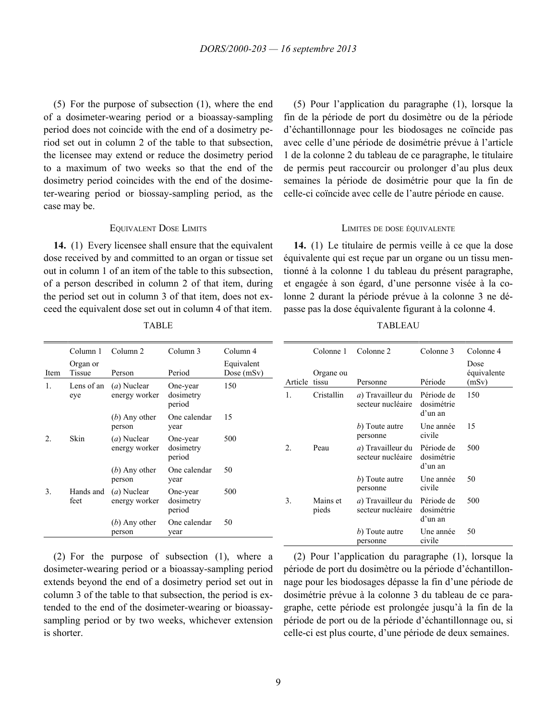<span id="page-13-0"></span>(5) For the purpose of subsection (1), where the end of a dosimeter-wearing period or a bioassay-sampling period does not coincide with the end of a dosimetry period set out in column 2 of the table to that subsection, the licensee may extend or reduce the dosimetry period to a maximum of two weeks so that the end of the dosimetry period coincides with the end of the dosimeter-wearing period or biossay-sampling period, as the case may be.

**14.** (1) Every licensee shall ensure that the equivalent dose received by and committed to an organ or tissue set out in column 1 of an item of the table to this subsection, of a person described in column 2 of that item, during the period set out in column 3 of that item, does not exceed the equivalent dose set out in column 4 of that item.

(5) Pour l'application du paragraphe (1), lorsque la fin de la période de port du dosimètre ou de la période d'échantillonnage pour les biodosages ne coïncide pas avec celle d'une période de dosimétrie prévue à l'article 1 de la colonne 2 du tableau de ce paragraphe, le titulaire de permis peut raccourcir ou prolonger d'au plus deux semaines la période de dosimétrie pour que la fin de celle-ci coïncide avec celle de l'autre période en cause.

### EQUIVALENT DOSE LIMITS LIMITES DE DOSE ÉQUIVALENTE

**14.** (1) Le titulaire de permis veille à ce que la dose équivalente qui est reçue par un organe ou un tissu mentionné à la colonne 1 du tableau du présent paragraphe, et engagée à son égard, d'une personne visée à la colonne 2 durant la période prévue à la colonne 3 ne dépasse pas la dose équivalente figurant à la colonne 4.

|      | Column 1           | Column 2                       | Column 3                        | Column 4                   |         | Colonne 1          | Colonne 2                                          | Colonne 3                           | Colonne 4                    |
|------|--------------------|--------------------------------|---------------------------------|----------------------------|---------|--------------------|----------------------------------------------------|-------------------------------------|------------------------------|
| Item | Organ or<br>Tissue | Person                         | Period                          | Equivalent<br>Dose $(mSv)$ | Article | Organe ou<br>tissu | Personne                                           | Période                             | Dose<br>équivalente<br>(mSv) |
| 1.   | Lens of an<br>eye  | $(a)$ Nuclear<br>energy worker | One-year<br>dosimetry<br>period | 150                        | 1.      | Cristallin         | a) Travailleur du<br>secteur nucléaire             | Période de<br>dosimétrie<br>d'un an | 150                          |
|      |                    | $(b)$ Any other<br>person      | One calendar<br>year            | 15                         |         |                    | b) Toute autre                                     | Une année                           | 15                           |
| 2.   | Skin               | $(a)$ Nuclear<br>energy worker | One-year<br>dosimetry<br>period | 500                        | 2.      | Peau               | personne<br>a) Travailleur du<br>secteur nucléaire | civile<br>Période de<br>dosimétrie  | 500                          |
|      |                    | $(b)$ Any other<br>person      | One calendar<br>year            | 50                         |         |                    | b) Toute autre                                     | d'un an<br>Une année                | 50                           |
| 3.   | Hands and<br>feet  | $(a)$ Nuclear<br>energy worker | One-year<br>dosimetry<br>period | 500                        | 3.      | Mains et<br>pieds  | personne<br>a) Travailleur du<br>secteur nucléaire | civile<br>Période de<br>dosimétrie  | 500                          |
|      |                    | $(b)$ Any other<br>person      | One calendar<br>year            | 50                         |         |                    | b) Toute autre<br>personne                         | d'un an<br>Une année<br>civile      | 50                           |

TABLE

(2) For the purpose of subsection (1), where a dosimeter-wearing period or a bioassay-sampling period extends beyond the end of a dosimetry period set out in column 3 of the table to that subsection, the period is extended to the end of the dosimeter-wearing or bioassaysampling period or by two weeks, whichever extension is shorter.

### TABLEAU

(2) Pour l'application du paragraphe (1), lorsque la période de port du dosimètre ou la période d'échantillonnage pour les biodosages dépasse la fin d'une période de dosimétrie prévue à la colonne 3 du tableau de ce paragraphe, cette période est prolongée jusqu'à la fin de la période de port ou de la période d'échantillonnage ou, si celle-ci est plus courte, d'une période de deux semaines.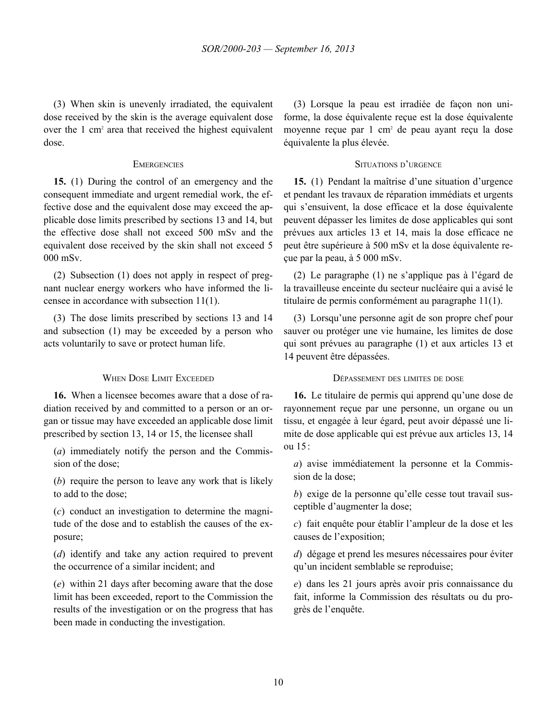<span id="page-14-0"></span>(3) When skin is unevenly irradiated, the equivalent dose received by the skin is the average equivalent dose over the 1 cm<sup>2</sup> area that received the highest equivalent dose.

**15.** (1) During the control of an emergency and the consequent immediate and urgent remedial work, the effective dose and the equivalent dose may exceed the applicable dose limits prescribed by sections 13 and 14, but the effective dose shall not exceed 500 mSv and the equivalent dose received by the skin shall not exceed 5 000 mSv.

(2) Subsection (1) does not apply in respect of pregnant nuclear energy workers who have informed the licensee in accordance with subsection 11(1).

(3) The dose limits prescribed by sections 13 and 14 and subsection (1) may be exceeded by a person who acts voluntarily to save or protect human life.

**16.** When a licensee becomes aware that a dose of radiation received by and committed to a person or an organ or tissue may have exceeded an applicable dose limit prescribed by section 13, 14 or 15, the licensee shall

(*a*) immediately notify the person and the Commission of the dose;

(*b*) require the person to leave any work that is likely to add to the dose;

(*c*) conduct an investigation to determine the magnitude of the dose and to establish the causes of the exposure;

(*d*) identify and take any action required to prevent the occurrence of a similar incident; and

(*e*) within 21 days after becoming aware that the dose limit has been exceeded, report to the Commission the results of the investigation or on the progress that has been made in conducting the investigation.

(3) Lorsque la peau est irradiée de façon non uniforme, la dose équivalente reçue est la dose équivalente moyenne reçue par 1 cm<sup>2</sup> de peau ayant reçu la dose équivalente la plus élevée.

### EMERGENCIES SITUATIONS D'URGENCE

**15.** (1) Pendant la maîtrise d'une situation d'urgence et pendant les travaux de réparation immédiats et urgents qui s'ensuivent, la dose efficace et la dose équivalente peuvent dépasser les limites de dose applicables qui sont prévues aux articles 13 et 14, mais la dose efficace ne peut être supérieure à 500 mSv et la dose équivalente reçue par la peau, à 5 000 mSv.

(2) Le paragraphe (1) ne s'applique pas à l'égard de la travailleuse enceinte du secteur nucléaire qui a avisé le titulaire de permis conformément au paragraphe 11(1).

(3) Lorsqu'une personne agit de son propre chef pour sauver ou protéger une vie humaine, les limites de dose qui sont prévues au paragraphe (1) et aux articles 13 et 14 peuvent être dépassées.

### WHEN DOSE LIMIT EXCEEDED DÉPASSEMENT DES LIMITES DE DOSE

**16.** Le titulaire de permis qui apprend qu'une dose de rayonnement reçue par une personne, un organe ou un tissu, et engagée à leur égard, peut avoir dépassé une limite de dose applicable qui est prévue aux articles 13, 14 ou 15:

*a*) avise immédiatement la personne et la Commission de la dose;

*b*) exige de la personne qu'elle cesse tout travail susceptible d'augmenter la dose;

*c*) fait enquête pour établir l'ampleur de la dose et les causes de l'exposition;

*d*) dégage et prend les mesures nécessaires pour éviter qu'un incident semblable se reproduise;

*e*) dans les 21 jours après avoir pris connaissance du fait, informe la Commission des résultats ou du progrès de l'enquête.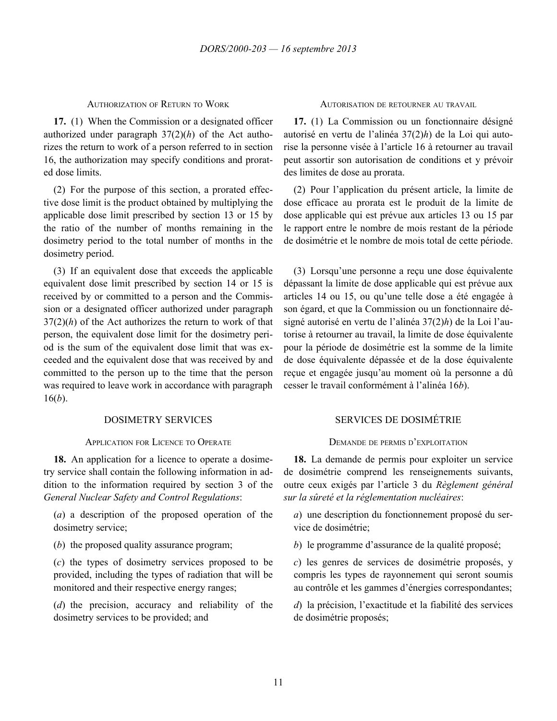<span id="page-15-0"></span>**17.** (1) When the Commission or a designated officer authorized under paragraph 37(2)(*h*) of the Act authorizes the return to work of a person referred to in section 16, the authorization may specify conditions and prorated dose limits.

(2) For the purpose of this section, a prorated effective dose limit is the product obtained by multiplying the applicable dose limit prescribed by section 13 or 15 by the ratio of the number of months remaining in the dosimetry period to the total number of months in the dosimetry period.

(3) If an equivalent dose that exceeds the applicable equivalent dose limit prescribed by section 14 or 15 is received by or committed to a person and the Commission or a designated officer authorized under paragraph 37(2)(*h*) of the Act authorizes the return to work of that person, the equivalent dose limit for the dosimetry period is the sum of the equivalent dose limit that was exceeded and the equivalent dose that was received by and committed to the person up to the time that the person was required to leave work in accordance with paragraph 16(*b*).

### APPLICATION FOR LICENCE TO OPERATE DEMANDE DE PERMIS D'EXPLOITATION

**18.** An application for a licence to operate a dosimetry service shall contain the following information in addition to the information required by section 3 of the *General Nuclear Safety and Control Regulations*:

(*a*) a description of the proposed operation of the dosimetry service;

(*b*) the proposed quality assurance program;

(*c*) the types of dosimetry services proposed to be provided, including the types of radiation that will be monitored and their respective energy ranges;

(*d*) the precision, accuracy and reliability of the dosimetry services to be provided; and

### AUTHORIZATION OF RETURN TO WORK AUTORISATION DE RETOURNER AU TRAVAIL

**17.** (1) La Commission ou un fonctionnaire désigné autorisé en vertu de l'alinéa 37(2)*h*) de la Loi qui autorise la personne visée à l'article 16 à retourner au travail peut assortir son autorisation de conditions et y prévoir des limites de dose au prorata.

(2) Pour l'application du présent article, la limite de dose efficace au prorata est le produit de la limite de dose applicable qui est prévue aux articles 13 ou 15 par le rapport entre le nombre de mois restant de la période de dosimétrie et le nombre de mois total de cette période.

(3) Lorsqu'une personne a reçu une dose équivalente dépassant la limite de dose applicable qui est prévue aux articles 14 ou 15, ou qu'une telle dose a été engagée à son égard, et que la Commission ou un fonctionnaire désigné autorisé en vertu de l'alinéa 37(2)*h*) de la Loi l'autorise à retourner au travail, la limite de dose équivalente pour la période de dosimétrie est la somme de la limite de dose équivalente dépassée et de la dose équivalente reçue et engagée jusqu'au moment où la personne a dû cesser le travail conformément à l'alinéa 16*b*).

# DOSIMETRY SERVICES SERVICES DE DOSIMÉTRIE

**18.** La demande de permis pour exploiter un service de dosimétrie comprend les renseignements suivants, outre ceux exigés par l'article 3 du *Règlement général sur la sûreté et la réglementation nucléaires*:

*a*) une description du fonctionnement proposé du service de dosimétrie;

*b*) le programme d'assurance de la qualité proposé;

*c*) les genres de services de dosimétrie proposés, y compris les types de rayonnement qui seront soumis au contrôle et les gammes d'énergies correspondantes;

*d*) la précision, l'exactitude et la fiabilité des services de dosimétrie proposés;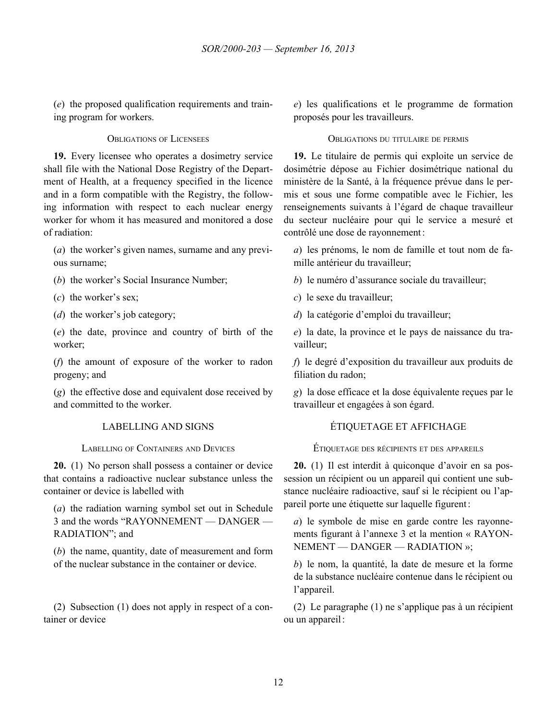<span id="page-16-0"></span>(*e*) the proposed qualification requirements and training program for workers.

**19.** Every licensee who operates a dosimetry service shall file with the National Dose Registry of the Department of Health, at a frequency specified in the licence and in a form compatible with the Registry, the following information with respect to each nuclear energy worker for whom it has measured and monitored a dose of radiation:

(*a*) the worker's given names, surname and any previous surname;

(*b*) the worker's Social Insurance Number;

(*c*) the worker's sex;

(*d*) the worker's job category;

(*e*) the date, province and country of birth of the worker;

(*f*) the amount of exposure of the worker to radon progeny; and

(*g*) the effective dose and equivalent dose received by and committed to the worker.

**20.** (1) No person shall possess a container or device that contains a radioactive nuclear substance unless the container or device is labelled with

(*a*) the radiation warning symbol set out in Schedule 3 and the words "RAYONNEMENT — DANGER — RADIATION"; and

(*b*) the name, quantity, date of measurement and form of the nuclear substance in the container or device.

(2) Subsection (1) does not apply in respect of a container or device

*e*) les qualifications et le programme de formation proposés pour les travailleurs.

### OBLIGATIONS OF LICENSEES OBLIGATIONS DU TITULAIRE DE PERMIS

**19.** Le titulaire de permis qui exploite un service de dosimétrie dépose au Fichier dosimétrique national du ministère de la Santé, à la fréquence prévue dans le permis et sous une forme compatible avec le Fichier, les renseignements suivants à l'égard de chaque travailleur du secteur nucléaire pour qui le service a mesuré et contrôlé une dose de rayonnement:

*a*) les prénoms, le nom de famille et tout nom de famille antérieur du travailleur;

*b*) le numéro d'assurance sociale du travailleur;

*c*) le sexe du travailleur;

*d*) la catégorie d'emploi du travailleur;

*e*) la date, la province et le pays de naissance du travailleur;

*f*) le degré d'exposition du travailleur aux produits de filiation du radon;

*g*) la dose efficace et la dose équivalente reçues par le travailleur et engagées à son égard.

# LABELLING AND SIGNS ÉTIQUETAGE ET AFFICHAGE

LABELLING OF CONTAINERS AND DEVICES ÉTIQUETAGE DES RÉCIPIENTS ET DES APPAREILS

**20.** (1) Il est interdit à quiconque d'avoir en sa possession un récipient ou un appareil qui contient une substance nucléaire radioactive, sauf si le récipient ou l'appareil porte une étiquette sur laquelle figurent:

*a*) le symbole de mise en garde contre les rayonnements figurant à l'annexe 3 et la mention « RAYON-NEMENT — DANGER — RADIATION »;

*b*) le nom, la quantité, la date de mesure et la forme de la substance nucléaire contenue dans le récipient ou l'appareil.

(2) Le paragraphe (1) ne s'applique pas à un récipient ou un appareil: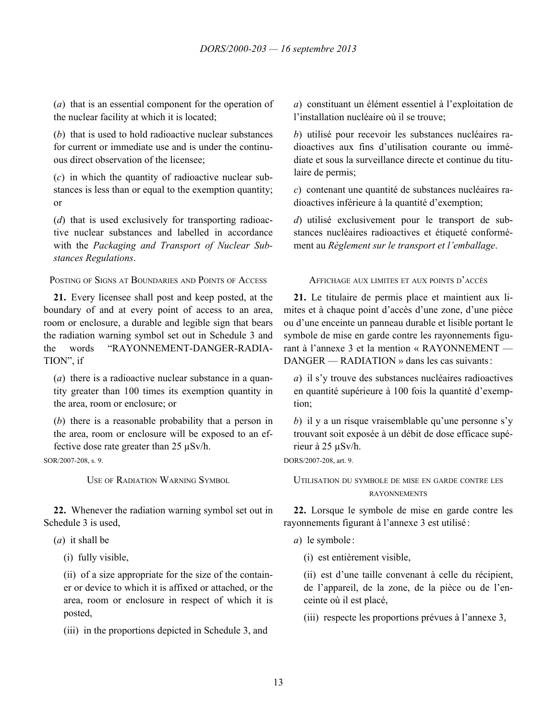<span id="page-17-0"></span>(*a*) that is an essential component for the operation of the nuclear facility at which it is located;

(*b*) that is used to hold radioactive nuclear substances for current or immediate use and is under the continuous direct observation of the licensee;

(*c*) in which the quantity of radioactive nuclear substances is less than or equal to the exemption quantity; or

(*d*) that is used exclusively for transporting radioactive nuclear substances and labelled in accordance with the *Packaging and Transport of Nuclear Substances Regulations*.

POSTING OF SIGNS AT BOUNDARIES AND POINTS OF ACCESS AFFICHAGE AUX LIMITES ET AUX POINTS D'ACCÈS

**21.** Every licensee shall post and keep posted, at the boundary of and at every point of access to an area, room or enclosure, a durable and legible sign that bears the radiation warning symbol set out in Schedule 3 and the words "RAYONNEMENT-DANGER-RADIA-TION", if

(*a*) there is a radioactive nuclear substance in a quantity greater than 100 times its exemption quantity in the area, room or enclosure; or

(*b*) there is a reasonable probability that a person in the area, room or enclosure will be exposed to an effective dose rate greater than 25 µSv/h.

SOR/2007-208, s. 9.

**22.** Whenever the radiation warning symbol set out in Schedule 3 is used,

(*a*) it shall be

(i) fully visible,

(ii) of a size appropriate for the size of the container or device to which it is affixed or attached, or the area, room or enclosure in respect of which it is posted,

(iii) in the proportions depicted in Schedule 3, and

*a*) constituant un élément essentiel à l'exploitation de l'installation nucléaire où il se trouve;

*b*) utilisé pour recevoir les substances nucléaires radioactives aux fins d'utilisation courante ou immédiate et sous la surveillance directe et continue du titulaire de permis;

*c*) contenant une quantité de substances nucléaires radioactives inférieure à la quantité d'exemption;

*d*) utilisé exclusivement pour le transport de substances nucléaires radioactives et étiqueté conformément au *Règlement sur le transport et l'emballage*.

**21.** Le titulaire de permis place et maintient aux limites et à chaque point d'accès d'une zone, d'une pièce ou d'une enceinte un panneau durable et lisible portant le symbole de mise en garde contre les rayonnements figurant à l'annexe 3 et la mention « RAYONNEMENT — DANGER — RADIATION » dans les cas suivants:

*a*) il s'y trouve des substances nucléaires radioactives en quantité supérieure à 100 fois la quantité d'exemption;

*b*) il y a un risque vraisemblable qu'une personne s'y trouvant soit exposée à un débit de dose efficace supérieur à 25 µSv/h.

DORS/2007-208, art. 9.

USE OF RADIATION WARNING SYMBOL UTILISATION DU SYMBOLE DE MISE EN GARDE CONTRE LES RAYONNEMENTS

> **22.** Lorsque le symbole de mise en garde contre les rayonnements figurant à l'annexe 3 est utilisé :

*a*) le symbole :

(i) est entièrement visible,

(ii) est d'une taille convenant à celle du récipient, de l'appareil, de la zone, de la pièce ou de l'enceinte où il est placé,

(iii) respecte les proportions prévues à l'annexe 3,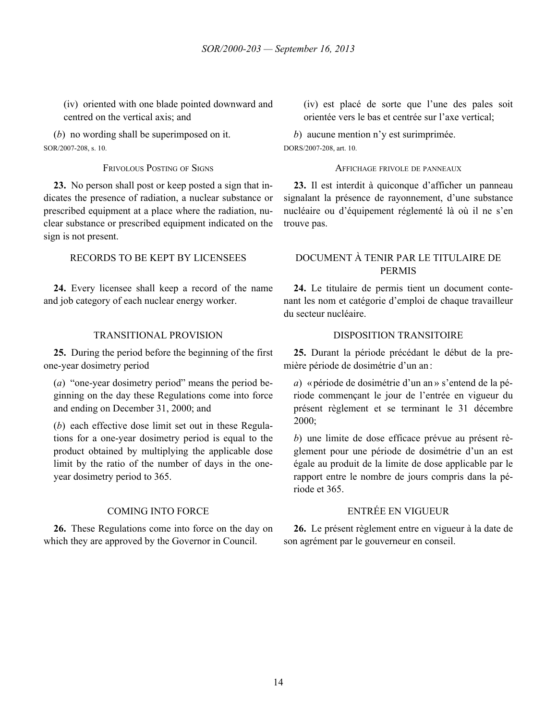<span id="page-18-0"></span>(iv) oriented with one blade pointed downward and centred on the vertical axis; and

(*b*) no wording shall be superimposed on it. SOR/2007-208, s. 10.

**23.** No person shall post or keep posted a sign that indicates the presence of radiation, a nuclear substance or prescribed equipment at a place where the radiation, nuclear substance or prescribed equipment indicated on the sign is not present.

**24.** Every licensee shall keep a record of the name and job category of each nuclear energy worker.

**25.** During the period before the beginning of the first one-year dosimetry period

(*a*) "one-year dosimetry period" means the period beginning on the day these Regulations come into force and ending on December 31, 2000; and

(*b*) each effective dose limit set out in these Regulations for a one-year dosimetry period is equal to the product obtained by multiplying the applicable dose limit by the ratio of the number of days in the oneyear dosimetry period to 365.

**26.** These Regulations come into force on the day on which they are approved by the Governor in Council.

(iv) est placé de sorte que l'une des pales soit orientée vers le bas et centrée sur l'axe vertical;

*b*) aucune mention n'y est surimprimée. DORS/2007-208, art. 10.

### FRIVOLOUS POSTING OF SIGNS AFFICHAGE FRIVOLE DE PANNEAUX

**23.** Il est interdit à quiconque d'afficher un panneau signalant la présence de rayonnement, d'une substance nucléaire ou d'équipement réglementé là où il ne s'en trouve pas.

# RECORDS TO BE KEPT BY LICENSEES DOCUMENT À TENIR PAR LE TITULAIRE DE PERMIS

**24.** Le titulaire de permis tient un document contenant les nom et catégorie d'emploi de chaque travailleur du secteur nucléaire.

# TRANSITIONAL PROVISION DISPOSITION TRANSITOIRE

**25.** Durant la période précédant le début de la première période de dosimétrie d'un an:

*a*) «période de dosimétrie d'un an » s'entend de la période commençant le jour de l'entrée en vigueur du présent règlement et se terminant le 31 décembre 2000;

*b*) une limite de dose efficace prévue au présent règlement pour une période de dosimétrie d'un an est égale au produit de la limite de dose applicable par le rapport entre le nombre de jours compris dans la période et 365.

# COMING INTO FORCE ENTRÉE EN VIGUEUR

**26.** Le présent règlement entre en vigueur à la date de son agrément par le gouverneur en conseil.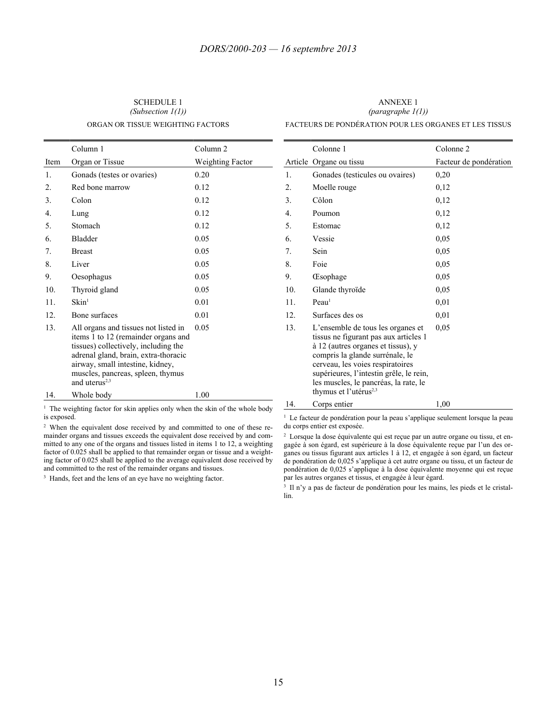Ė

<span id="page-19-0"></span>SCHEDULE 1 *(Subsection 1(1))* ORGAN OR TISSUE WEIGHTING FACTORS

ANNEXE 1 *(paragraphe 1(1))* FACTEURS DE PONDÉRATION POUR LES ORGANES ET LES TISSUS

|                  | Column 1                                                                                                                                                                                                                                                 | Column <sub>2</sub> |
|------------------|----------------------------------------------------------------------------------------------------------------------------------------------------------------------------------------------------------------------------------------------------------|---------------------|
| Item             | Organ or Tissue                                                                                                                                                                                                                                          | Weighting Factor    |
| $\mathbf{1}$ .   | Gonads (testes or ovaries)                                                                                                                                                                                                                               | 0.20                |
| 2.               | Red bone marrow                                                                                                                                                                                                                                          | 0.12                |
| 3.               | Colon                                                                                                                                                                                                                                                    | 0.12                |
| $\overline{4}$ . | Lung                                                                                                                                                                                                                                                     | 0.12                |
| 5.               | Stomach                                                                                                                                                                                                                                                  | 0.12                |
| 6.               | <b>Bladder</b>                                                                                                                                                                                                                                           | 0.05                |
| $7_{\cdot}$      | <b>Breast</b>                                                                                                                                                                                                                                            | 0.05                |
| 8.               | Liver                                                                                                                                                                                                                                                    | 0.05                |
| 9.               | Oesophagus                                                                                                                                                                                                                                               | 0.05                |
| 10.              | Thyroid gland                                                                                                                                                                                                                                            | 0.05                |
| 11.              | $\rm Skin^1$                                                                                                                                                                                                                                             | 0.01                |
| 12.              | Bone surfaces                                                                                                                                                                                                                                            | 0.01                |
| 13.              | All organs and tissues not listed in<br>items 1 to 12 (remainder organs and<br>tissues) collectively, including the<br>adrenal gland, brain, extra-thoracic<br>airway, small intestine, kidney,<br>muscles, pancreas, spleen, thymus<br>and uterus $2,3$ | 0.05                |
| 14.              | Whole body                                                                                                                                                                                                                                               | 1.00                |

<sup>1</sup> The weighting factor for skin applies only when the skin of the whole body is exposed.

<sup>2</sup> When the equivalent dose received by and committed to one of these remainder organs and tissues exceeds the equivalent dose received by and committed to any one of the organs and tissues listed in items 1 to 12, a weighting factor of 0.025 shall be applied to that remainder organ or tissue and a weighting factor of 0.025 shall be applied to the average equivalent dose received by and committed to the rest of the remainder organs and tissues.

<sup>3</sup> Hands, feet and the lens of an eye have no weighting factor.

|                  | Colonne 1                                                                                                                                                                                                                                                                                                        | Colonne <sub>2</sub>   |
|------------------|------------------------------------------------------------------------------------------------------------------------------------------------------------------------------------------------------------------------------------------------------------------------------------------------------------------|------------------------|
|                  | Article Organe ou tissu                                                                                                                                                                                                                                                                                          | Facteur de pondération |
| 1.               | Gonades (testicules ou ovaires)                                                                                                                                                                                                                                                                                  | 0,20                   |
| 2.               | Moelle rouge                                                                                                                                                                                                                                                                                                     | 0,12                   |
| 3.               | Côlon                                                                                                                                                                                                                                                                                                            | 0,12                   |
| $\overline{4}$ . | Poumon                                                                                                                                                                                                                                                                                                           | 0,12                   |
| 5.               | Estomac                                                                                                                                                                                                                                                                                                          | 0,12                   |
| 6.               | Vessie                                                                                                                                                                                                                                                                                                           | 0,05                   |
| 7.               | Sein                                                                                                                                                                                                                                                                                                             | 0,05                   |
| 8.               | Foie                                                                                                                                                                                                                                                                                                             | 0,05                   |
| 9.               | <b>Esophage</b>                                                                                                                                                                                                                                                                                                  | 0,05                   |
| 10.              | Glande thyroïde                                                                                                                                                                                                                                                                                                  | 0,05                   |
| 11.              | Peau <sup>1</sup>                                                                                                                                                                                                                                                                                                | 0,01                   |
| 12.              | Surfaces des os                                                                                                                                                                                                                                                                                                  | 0,01                   |
| 13.              | L'ensemble de tous les organes et<br>tissus ne figurant pas aux articles 1<br>à 12 (autres organes et tissus), y<br>compris la glande surrénale, le<br>cerveau, les voies respiratoires<br>supérieures, l'intestin grêle, le rein,<br>les muscles, le pancréas, la rate, le<br>thymus et l'utérus <sup>2,3</sup> | 0,05                   |
| 14.              | Corps entier                                                                                                                                                                                                                                                                                                     | 1,00                   |

<sup>1</sup> Le facteur de pondération pour la peau s'applique seulement lorsque la peau du corps entier est exposée.

<sup>2</sup> Lorsque la dose équivalente qui est reçue par un autre organe ou tissu, et engagée à son égard, est supérieure à la dose équivalente reçue par l'un des organes ou tissus figurant aux articles 1 à 12, et engagée à son égard, un facteur de pondération de 0,025 s'applique à cet autre organe ou tissu, et un facteur de pondération de 0,025 s'applique à la dose équivalente moyenne qui est reçue par les autres organes et tissus, et engagée à leur égard.

<sup>3</sup> Il n'y a pas de facteur de pondération pour les mains, les pieds et le cristallin.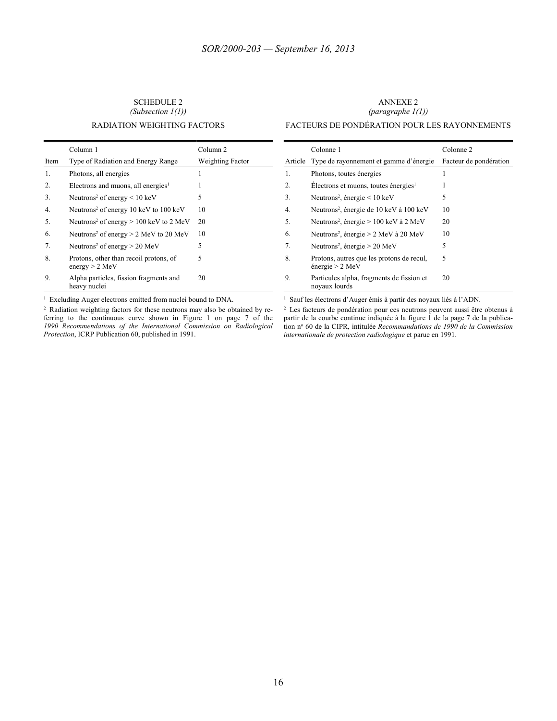### <span id="page-20-0"></span>SCHEDULE 2 *(Subsection 1(1))* RADIATION WEIGHTING FACTORS

### ANNEXE 2 *(paragraphe 1(1))* FACTEURS DE PONDÉRATION POUR LES RAYONNEMENTS

### Column 1 Column 2 Item Type of Radiation and Energy Range Weighting Factor 1. Photons, all energies 1 2. Electrons and muons, all energies<sup>1</sup>  $1$ 3. Neutrons<sup>2</sup> of energy  $\leq 10 \text{ keV}$  5 4. Neutrons<sup>2</sup> of energy 10 keV to 100 keV 10 5. Neutrons<sup>2</sup> of energy  $> 100$  keV to 2 MeV 20 6. Neutrons<sup>2</sup> of energy  $> 2$  MeV to 20 MeV 10 7. Neutrons<sup>2</sup> of energy  $> 20$  MeV 5 8. Protons, other than recoil protons, of energy > 2 MeV 5 9. Alpha particles, fission fragments and heavy nuclei 20

Colonne 1 Colonne 2 Article Type de rayonnement et gamme d'énergie Facteur de pondération 1. Photons, toutes énergies 1 2. Électrons et muons, toutes énergies<sup>1</sup> 1 3. Neutrons<sup>2</sup>, énergie < 10 keV 5 4. Neutrons<sup>2</sup>, énergie de 10 keV à 100 keV 10 5. Neutrons<sup>2</sup>, énergie > 100 keV à 2 MeV 20 6. Neutrons<sup>2</sup>, énergie > 2 MeV à 20 MeV 10 7. Neutrons<sup>2</sup>, énergie > 20 MeV 5 8. Protons, autres que les protons de recul, énergie > 2 MeV 5 9. Particules alpha, fragments de fission et noyaux lourds 20

<sup>1</sup> Excluding Auger electrons emitted from nuclei bound to DNA.

<sup>2</sup> Radiation weighting factors for these neutrons may also be obtained by referring to the continuous curve shown in Figure 1 on page 7 of the *1990 Recommendations of the International Commission on Radiological Protection*, ICRP Publication 60, published in 1991.

<sup>1</sup> Sauf les électrons d'Auger émis à partir des noyaux liés à l'ADN.

<sup>2</sup> Les facteurs de pondération pour ces neutrons peuvent aussi être obtenus à partir de la courbe continue indiquée à la figure 1 de la page 7 de la publication nº 60 de la CIPR, intitulée *Recommandations de 1990 de la Commission internationale de protection radiologique* et parue en 1991.